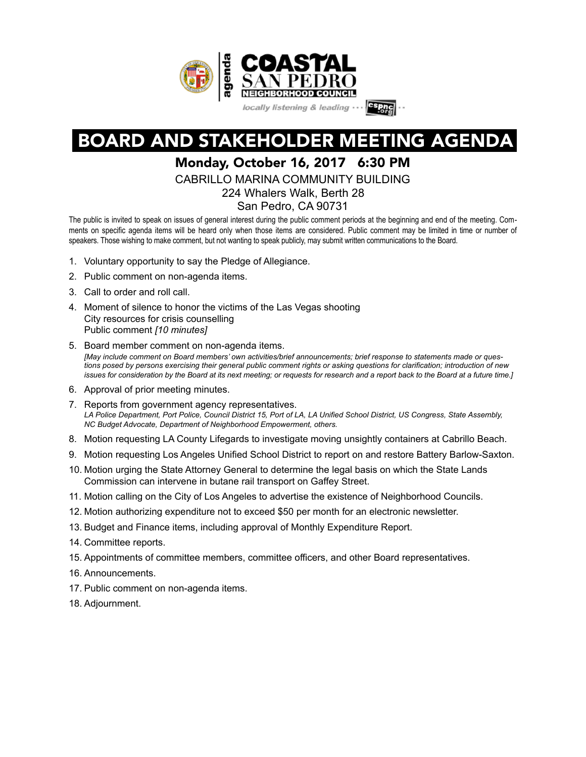

# BOARD AND STAKEHOLDER MEETING AGENDA

## Monday, October 16, 2017 6:30 PM

CABRILLO MARINA COMMUNITY BUILDING

224 Whalers Walk, Berth 28

San Pedro, CA 90731

The public is invited to speak on issues of general interest during the public comment periods at the beginning and end of the meeting. Comments on specific agenda items will be heard only when those items are considered. Public comment may be limited in time or number of speakers. Those wishing to make comment, but not wanting to speak publicly, may submit written communications to the Board.

- 1. Voluntary opportunity to say the Pledge of Allegiance.
- 2. Public comment on non-agenda items.
- 3. Call to order and roll call.
- 4. Moment of silence to honor the victims of the Las Vegas shooting City resources for crisis counselling Public comment *[10 minutes]*
- 5. Board member comment on non-agenda items. *[May include comment on Board members' own activities/brief announcements; brief response to statements made or questions posed by persons exercising their general public comment rights or asking questions for clarification; introduction of new issues for consideration by the Board at its next meeting; or requests for research and a report back to the Board at a future time.]*
- 6. Approval of prior meeting minutes.
- 7. Reports from government agency representatives. LA Police Department, Port Police, Council District 15, Port of LA, LA Unified School District, US Congress, State Assembly, *NC Budget Advocate, Department of Neighborhood Empowerment, others.*
- 8. Motion requesting LA County Lifegards to investigate moving unsightly containers at Cabrillo Beach.
- 9. Motion requesting Los Angeles Unified School District to report on and restore Battery Barlow-Saxton.
- 10. Motion urging the State Attorney General to determine the legal basis on which the State Lands Commission can intervene in butane rail transport on Gaffey Street.
- 11. Motion calling on the City of Los Angeles to advertise the existence of Neighborhood Councils.
- 12. Motion authorizing expenditure not to exceed \$50 per month for an electronic newsletter.
- 13. Budget and Finance items, including approval of Monthly Expenditure Report.
- 14. Committee reports.
- 15. Appointments of committee members, committee officers, and other Board representatives.
- 16. Announcements.
- 17. Public comment on non-agenda items.
- 18. Adjournment.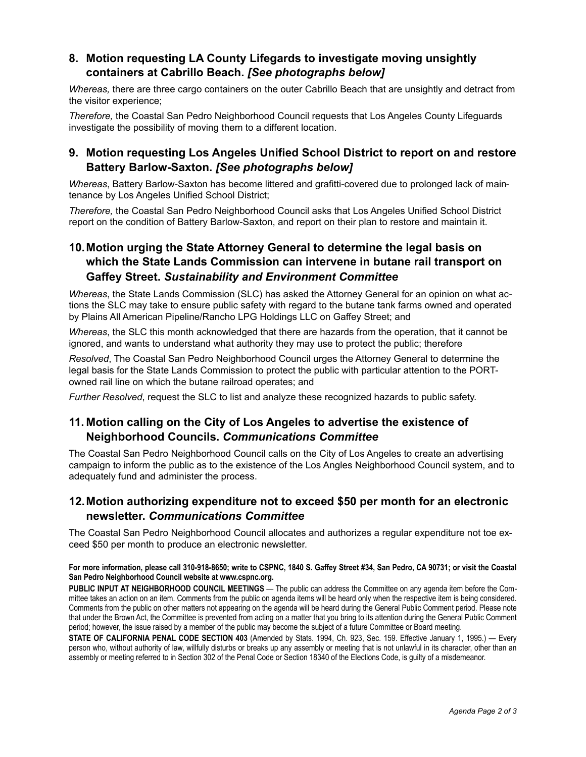#### **8. Motion requesting LA County Lifegards to investigate moving unsightly containers at Cabrillo Beach.** *[See photographs below]*

*Whereas,* there are three cargo containers on the outer Cabrillo Beach that are unsightly and detract from the visitor experience;

*Therefore,* the Coastal San Pedro Neighborhood Council requests that Los Angeles County Lifeguards investigate the possibility of moving them to a different location.

#### **9. Motion requesting Los Angeles Unified School District to report on and restore Battery Barlow-Saxton.** *[See photographs below]*

*Whereas*, Battery Barlow-Saxton has become littered and grafitti-covered due to prolonged lack of maintenance by Los Angeles Unified School District;

*Therefore,* the Coastal San Pedro Neighborhood Council asks that Los Angeles Unified School District report on the condition of Battery Barlow-Saxton, and report on their plan to restore and maintain it.

### **10. Motion urging the State Attorney General to determine the legal basis on which the State Lands Commission can intervene in butane rail transport on Gaffey Street.** *Sustainability and Environment Committee*

*Whereas*, the State Lands Commission (SLC) has asked the Attorney General for an opinion on what actions the SLC may take to ensure public safety with regard to the butane tank farms owned and operated by Plains All American Pipeline/Rancho LPG Holdings LLC on Gaffey Street; and

*Whereas*, the SLC this month acknowledged that there are hazards from the operation, that it cannot be ignored, and wants to understand what authority they may use to protect the public; therefore

*Resolved*, The Coastal San Pedro Neighborhood Council urges the Attorney General to determine the legal basis for the State Lands Commission to protect the public with particular attention to the PORTowned rail line on which the butane railroad operates; and

*Further Resolved*, request the SLC to list and analyze these recognized hazards to public safety.

#### **11. Motion calling on the City of Los Angeles to advertise the existence of Neighborhood Councils.** *Communications Committee*

The Coastal San Pedro Neighborhood Council calls on the City of Los Angeles to create an advertising campaign to inform the public as to the existence of the Los Angles Neighborhood Council system, and to adequately fund and administer the process.

#### **12. Motion authorizing expenditure not to exceed \$50 per month for an electronic newsletter.** *Communications Committee*

The Coastal San Pedro Neighborhood Council allocates and authorizes a regular expenditure not toe exceed \$50 per month to produce an electronic newsletter.

#### **For more information, please call 310-918-8650; write to CSPNC, 1840 S. Gaffey Street #34, San Pedro, CA 90731; or visit the Coastal San Pedro Neighborhood Council website at www.cspnc.org.**

**PUBLIC INPUT AT NEIGHBORHOOD COUNCIL MEETINGS** — The public can address the Committee on any agenda item before the Committee takes an action on an item. Comments from the public on agenda items will be heard only when the respective item is being considered. Comments from the public on other matters not appearing on the agenda will be heard during the General Public Comment period. Please note that under the Brown Act, the Committee is prevented from acting on a matter that you bring to its attention during the General Public Comment period; however, the issue raised by a member of the public may become the subject of a future Committee or Board meeting.

**STATE OF CALIFORNIA PENAL CODE SECTION 403** (Amended by Stats. 1994, Ch. 923, Sec. 159. Effective January 1, 1995.) — Every person who, without authority of law, willfully disturbs or breaks up any assembly or meeting that is not unlawful in its character, other than an assembly or meeting referred to in Section 302 of the Penal Code or Section 18340 of the Elections Code, is guilty of a misdemeanor.